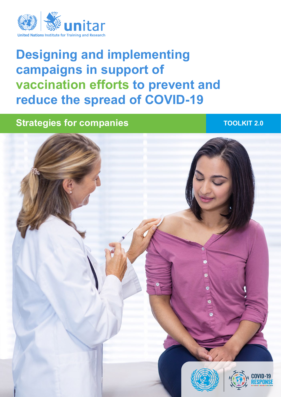

# **Designing and implementing campaigns in support of vaccination efforts to prevent and reduce the spread of COVID-19**

## **Strategies for companies TOOLKIT 2.0**